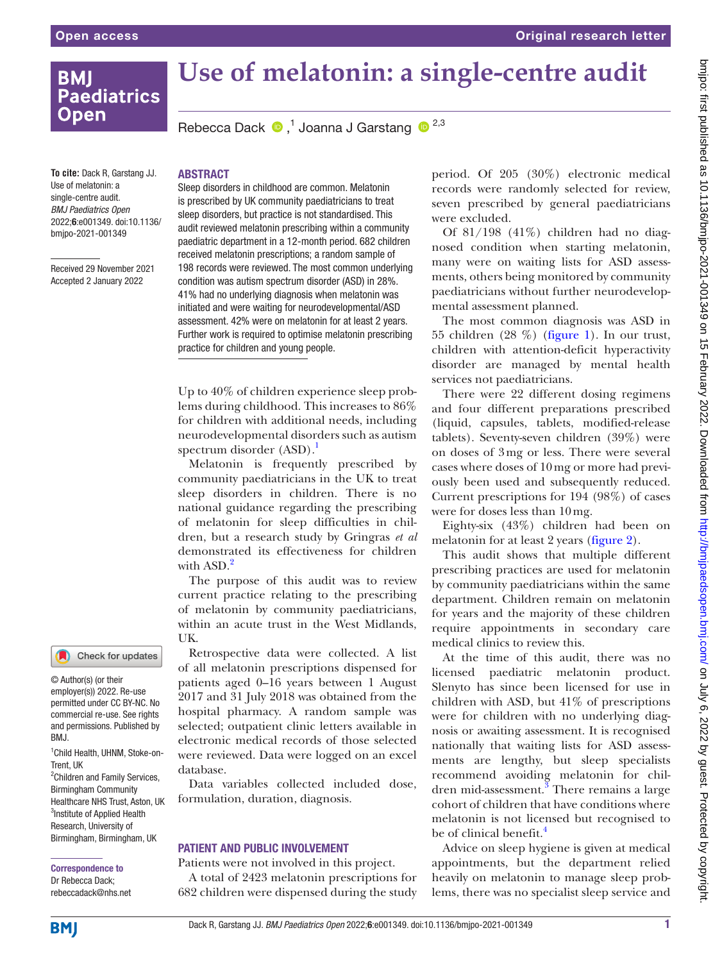# **BMI Paediatrics Open**

# **Use of melatonin: a single-centre audit**

Rebecca Dack  $\bullet$ ,<sup>1</sup> Joanna J Garstang  $\bullet$ <sup>2,3</sup>

**To cite:** Dack R, Garstang JJ. Use of melatonin: a single-centre audit. *BMJ Paediatrics Open* 2022;6:e001349. doi:10.1136/ bmjpo-2021-001349

Received 29 November 2021 Accepted 2 January 2022

## **ARSTRACT**

Sleep disorders in childhood are common. Melatonin is prescribed by UK community paediatricians to treat sleep disorders, but practice is not standardised. This audit reviewed melatonin prescribing within a community paediatric department in a 12-month period. 682 children received melatonin prescriptions; a random sample of 198 records were reviewed. The most common underlying condition was autism spectrum disorder (ASD) in 28%. 41% had no underlying diagnosis when melatonin was initiated and were waiting for neurodevelopmental/ASD assessment. 42% were on melatonin for at least 2 years. Further work is required to optimise melatonin prescribing practice for children and young people.

Up to 40% of children experience sleep problems during childhood. This increases to 86% for children with additional needs, including neurodevelopmental disorders such as autism spectrum disorder  $(ASD).<sup>1</sup>$ 

Melatonin is frequently prescribed by community paediatricians in the UK to treat sleep disorders in children. There is no national guidance regarding the prescribing of melatonin for sleep difficulties in children, but a research study by Gringras *et al* demonstrated its effectiveness for children with  $ASD.<sup>2</sup>$ 

The purpose of this audit was to review current practice relating to the prescribing of melatonin by community paediatricians, within an acute trust in the West Midlands, UK.

Retrospective data were collected. A list of all melatonin prescriptions dispensed for patients aged 0–16 years between 1 August 2017 and 31 July 2018 was obtained from the hospital pharmacy. A random sample was selected; outpatient clinic letters available in electronic medical records of those selected were reviewed. Data were logged on an excel database.

Data variables collected included dose, formulation, duration, diagnosis.

## PATIENT AND PUBLIC INVOLVEMENT

Patients were not involved in this project. A total of 2423 melatonin prescriptions for 682 children were dispensed during the study period. Of 205 (30%) electronic medical records were randomly selected for review, seven prescribed by general paediatricians were excluded.

Of 81/198 (41%) children had no diagnosed condition when starting melatonin, many were on waiting lists for ASD assessments, others being monitored by community paediatricians without further neurodevelopmental assessment planned.

The most common diagnosis was ASD in 55 children (28 %) [\(figure](#page-1-0) 1). In our trust, children with attention-deficit hyperactivity disorder are managed by mental health services not paediatricians.

There were 22 different dosing regimens and four different preparations prescribed (liquid, capsules, tablets, modified-release tablets). Seventy-seven children (39%) were on doses of 3mg or less. There were several cases where doses of 10mg or more had previously been used and subsequently reduced. Current prescriptions for 194 (98%) of cases were for doses less than 10mg.

Eighty-six (43%) children had been on melatonin for at least 2 years [\(figure](#page-1-1) 2).

This audit shows that multiple different prescribing practices are used for melatonin by community paediatricians within the same department. Children remain on melatonin for years and the majority of these children require appointments in secondary care medical clinics to review this.

At the time of this audit, there was no licensed paediatric melatonin product. Slenyto has since been licensed for use in children with ASD, but  $41\%$  of prescriptions were for children with no underlying diagnosis or awaiting assessment. It is recognised nationally that waiting lists for ASD assessments are lengthy, but sleep specialists recommend avoiding melatonin for children mid-assessment.<sup>3</sup> There remains a large cohort of children that have conditions where melatonin is not licensed but recognised to be of clinical benefit.<sup>4</sup>

Advice on sleep hygiene is given at medical appointments, but the department relied heavily on melatonin to manage sleep problems, there was no specialist sleep service and

## Check for updates

© Author(s) (or their employer(s)) 2022. Re-use permitted under CC BY-NC. No commercial re-use. See rights and permissions. Published by BMJ.

1 Child Health, UHNM, Stoke-on-Trent, UK <sup>2</sup>Children and Family Services, Birmingham Community

Healthcare NHS Trust, Aston, UK <sup>3</sup>Institute of Applied Health Research, University of Birmingham, Birmingham, UK

#### Correspondence to Dr Rebecca Dack; rebeccadack@nhs.net